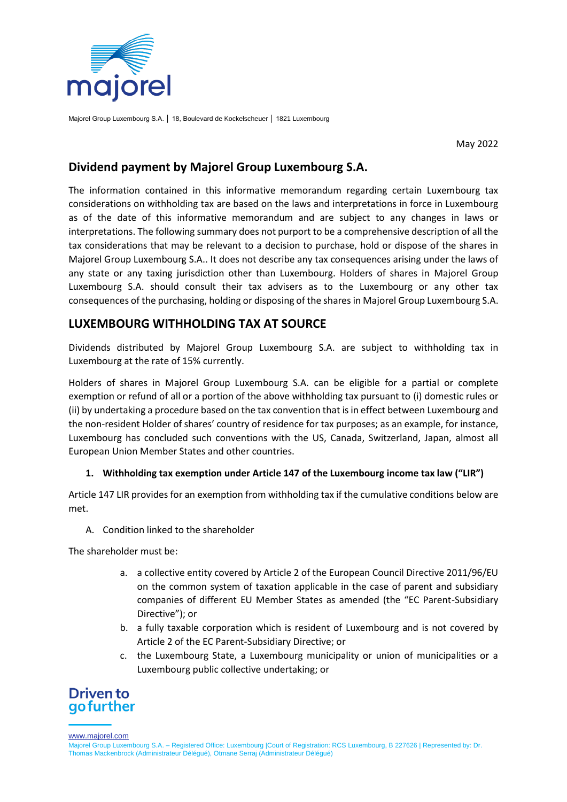

Majorel Group Luxembourg S.A. │ 18, Boulevard de Kockelscheuer │ 1821 Luxembourg

May 2022

## **Dividend payment by Majorel Group Luxembourg S.A.**

The information contained in this informative memorandum regarding certain Luxembourg tax considerations on withholding tax are based on the laws and interpretations in force in Luxembourg as of the date of this informative memorandum and are subject to any changes in laws or interpretations. The following summary does not purport to be a comprehensive description of all the tax considerations that may be relevant to a decision to purchase, hold or dispose of the shares in Majorel Group Luxembourg S.A.. It does not describe any tax consequences arising under the laws of any state or any taxing jurisdiction other than Luxembourg. Holders of shares in Majorel Group Luxembourg S.A. should consult their tax advisers as to the Luxembourg or any other tax consequences of the purchasing, holding or disposing of the shares in Majorel Group Luxembourg S.A.

# **LUXEMBOURG WITHHOLDING TAX AT SOURCE**

Dividends distributed by Majorel Group Luxembourg S.A. are subject to withholding tax in Luxembourg at the rate of 15% currently.

Holders of shares in Majorel Group Luxembourg S.A. can be eligible for a partial or complete exemption or refund of all or a portion of the above withholding tax pursuant to (i) domestic rules or (ii) by undertaking a procedure based on the tax convention that is in effect between Luxembourg and the non-resident Holder of shares' country of residence for tax purposes; as an example, for instance, Luxembourg has concluded such conventions with the US, Canada, Switzerland, Japan, almost all European Union Member States and other countries.

### **1. Withholding tax exemption under Article 147 of the Luxembourg income tax law ("LIR")**

Article 147 LIR provides for an exemption from withholding tax if the cumulative conditions below are met.

A. Condition linked to the shareholder

The shareholder must be:

- a. a collective entity covered by Article 2 of the European Council Directive 2011/96/EU on the common system of taxation applicable in the case of parent and subsidiary companies of different EU Member States as amended (the "EC Parent-Subsidiary Directive"); or
- b. a fully taxable corporation which is resident of Luxembourg and is not covered by Article 2 of the EC Parent-Subsidiary Directive; or
- c. the Luxembourg State, a Luxembourg municipality or union of municipalities or a Luxembourg public collective undertaking; or

# **Driven to** go further

www.majorel.com

Majorel Group Luxembourg S.A. – Registered Office: Luxembourg |Court of Registration: RCS Luxembourg, B 227626 | Represented by: Dr. Thomas Mackenbrock (Administrateur Délégué), Otmane Serraj (Administrateur Délégué)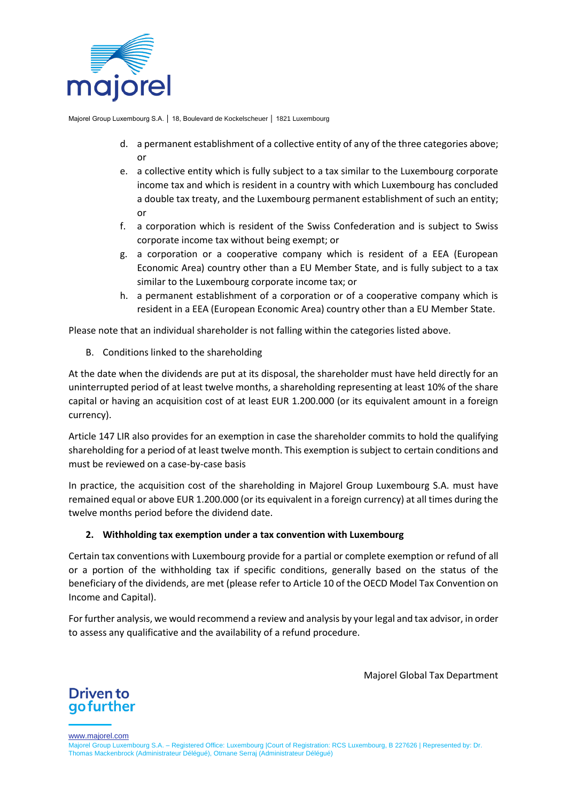

Majorel Group Luxembourg S.A. │ 18, Boulevard de Kockelscheuer │ 1821 Luxembourg

- d. a permanent establishment of a collective entity of any of the three categories above; or
- e. a collective entity which is fully subject to a tax similar to the Luxembourg corporate income tax and which is resident in a country with which Luxembourg has concluded a double tax treaty, and the Luxembourg permanent establishment of such an entity; or
- f. a corporation which is resident of the Swiss Confederation and is subject to Swiss corporate income tax without being exempt; or
- g. a corporation or a cooperative company which is resident of a EEA (European Economic Area) country other than a EU Member State, and is fully subject to a tax similar to the Luxembourg corporate income tax; or
- h. a permanent establishment of a corporation or of a cooperative company which is resident in a EEA (European Economic Area) country other than a EU Member State.

Please note that an individual shareholder is not falling within the categories listed above.

B. Conditions linked to the shareholding

At the date when the dividends are put at its disposal, the shareholder must have held directly for an uninterrupted period of at least twelve months, a shareholding representing at least 10% of the share capital or having an acquisition cost of at least EUR 1.200.000 (or its equivalent amount in a foreign currency).

Article 147 LIR also provides for an exemption in case the shareholder commits to hold the qualifying shareholding for a period of at least twelve month. This exemption is subject to certain conditions and must be reviewed on a case-by-case basis

In practice, the acquisition cost of the shareholding in Majorel Group Luxembourg S.A. must have remained equal or above EUR 1.200.000 (or its equivalent in a foreign currency) at all times during the twelve months period before the dividend date.

## **2. Withholding tax exemption under a tax convention with Luxembourg**

Certain tax conventions with Luxembourg provide for a partial or complete exemption or refund of all or a portion of the withholding tax if specific conditions, generally based on the status of the beneficiary of the dividends, are met (please refer to Article 10 of the OECD Model Tax Convention on Income and Capital).

For further analysis, we would recommend a review and analysis by your legal and tax advisor, in order to assess any qualificative and the availability of a refund procedure.

Majorel Global Tax Department



www.majorel.com

Majorel Group Luxembourg S.A. – Registered Office: Luxembourg |Court of Registration: RCS Luxembourg, B 227626 | Represented by: Dr. Thomas Mackenbrock (Administrateur Délégué), Otmane Serraj (Administrateur Délégué)